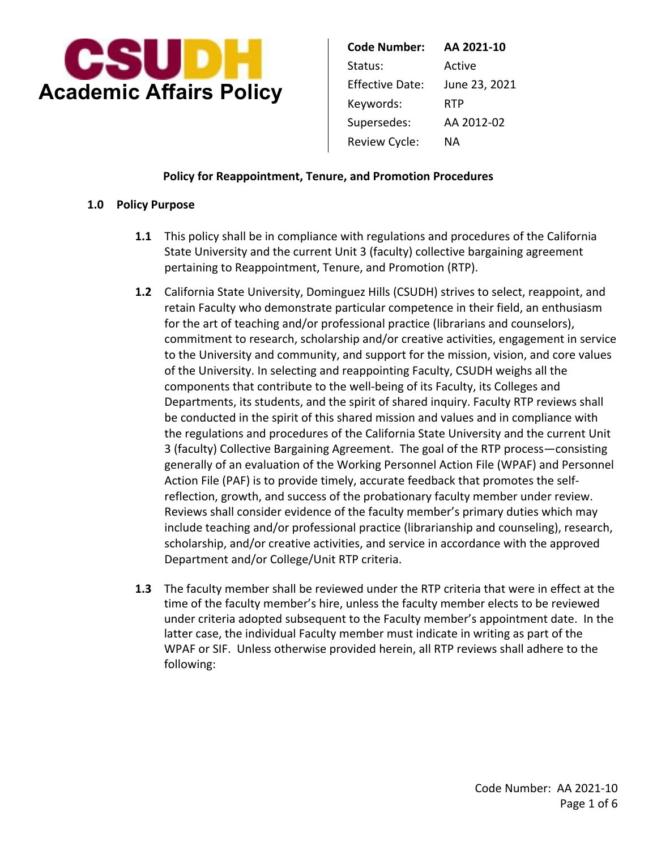

| Code Number:    | AA 2021-10    |
|-----------------|---------------|
| Status:         | Active        |
| Effective Date: | June 23, 2021 |
| Keywords:       | RTP           |
| Supersedes:     | AA 2012-02    |
| Review Cycle:   | NА            |

### **Policy for Reappointment, Tenure, and Promotion Procedures**

### **1.0 Policy Purpose**

- **1.1** This policy shall be in compliance with regulations and procedures of the California State University and the current Unit 3 (faculty) collective bargaining agreement pertaining to Reappointment, Tenure, and Promotion (RTP).
- **1.2** California State University, Dominguez Hills (CSUDH) strives to select, reappoint, and retain Faculty who demonstrate particular competence in their field, an enthusiasm for the art of teaching and/or professional practice (librarians and counselors), commitment to research, scholarship and/or creative activities, engagement in service to the University and community, and support for the mission, vision, and core values of the University. In selecting and reappointing Faculty, CSUDH weighs all the components that contribute to the well-being of its Faculty, its Colleges and Departments, its students, and the spirit of shared inquiry. Faculty RTP reviews shall be conducted in the spirit of this shared mission and values and in compliance with the regulations and procedures of the California State University and the current Unit 3 (faculty) Collective Bargaining Agreement. The goal of the RTP process—consisting generally of an evaluation of the Working Personnel Action File (WPAF) and Personnel Action File (PAF) is to provide timely, accurate feedback that promotes the selfreflection, growth, and success of the probationary faculty member under review. Reviews shall consider evidence of the faculty member's primary duties which may include teaching and/or professional practice (librarianship and counseling), research, scholarship, and/or creative activities, and service in accordance with the approved Department and/or College/Unit RTP criteria.
- time of the faculty member's hire, unless the faculty member elects to be reviewed **1.3** The faculty member shall be reviewed under the RTP criteria that were in effect at the under criteria adopted subsequent to the Faculty member's appointment date. In the latter case, the individual Faculty member must indicate in writing as part of the WPAF or SIF. Unless otherwise provided herein, all RTP reviews shall adhere to the following: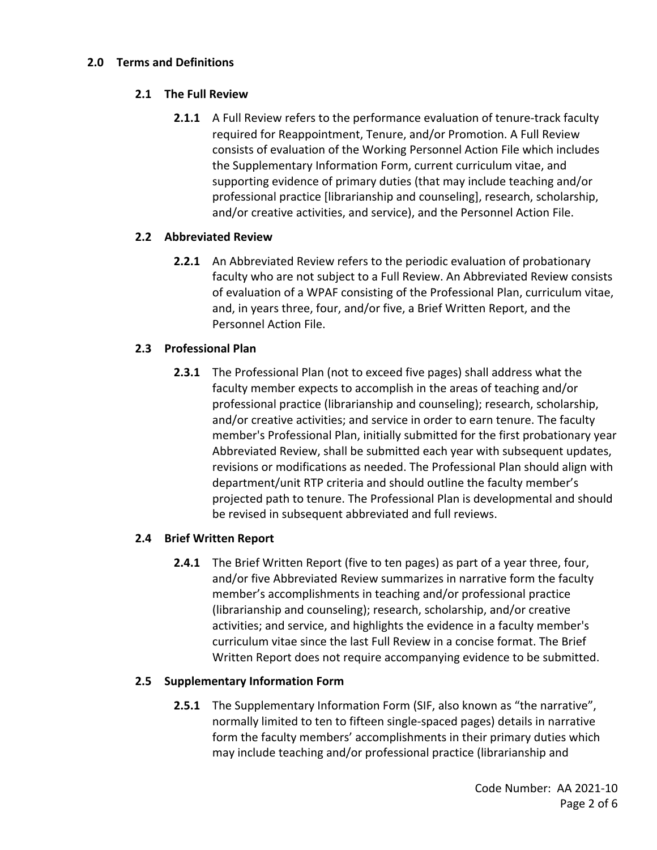### **2.0 Terms and Definitions**

# **2.1 The Full Review**

 **2.1.1** A Full Review refers to the performance evaluation of tenure-track faculty required for Reappointment, Tenure, and/or Promotion. A Full Review consists of evaluation of the Working Personnel Action File which includes the Supplementary Information Form, current curriculum vitae, and supporting evidence of primary duties (that may include teaching and/or professional practice [librarianship and counseling], research, scholarship, and/or creative activities, and service), and the Personnel Action File.

# **2.2 Abbreviated Review**

 **2.2.1** An Abbreviated Review refers to the periodic evaluation of probationary faculty who are not subject to a Full Review. An Abbreviated Review consists of evaluation of a WPAF consisting of the Professional Plan, curriculum vitae, and, in years three, four, and/or five, a Brief Written Report, and the Personnel Action File.

# **2.3 Professional Plan**

 **2.3.1** The Professional Plan (not to exceed five pages) shall address what the faculty member expects to accomplish in the areas of teaching and/or professional practice (librarianship and counseling); research, scholarship, and/or creative activities; and service in order to earn tenure. The faculty member's Professional Plan, initially submitted for the first probationary year Abbreviated Review, shall be submitted each year with subsequent updates, revisions or modifications as needed. The Professional Plan should align with department/unit RTP criteria and should outline the faculty member's projected path to tenure. The Professional Plan is developmental and should be revised in subsequent abbreviated and full reviews.

# **2.4 Brief Written Report**

 **2.4.1** The Brief Written Report (five to ten pages) as part of a year three, four, and/or five Abbreviated Review summarizes in narrative form the faculty member's accomplishments in teaching and/or professional practice (librarianship and counseling); research, scholarship, and/or creative activities; and service, and highlights the evidence in a faculty member's curriculum vitae since the last Full Review in a concise format. The Brief Written Report does not require accompanying evidence to be submitted.

# **2.5 Supplementary Information Form**

 **2.5.1** The Supplementary Information Form (SIF, also known as "the narrative", normally limited to ten to fifteen single-spaced pages) details in narrative form the faculty members' accomplishments in their primary duties which may include teaching and/or professional practice (librarianship and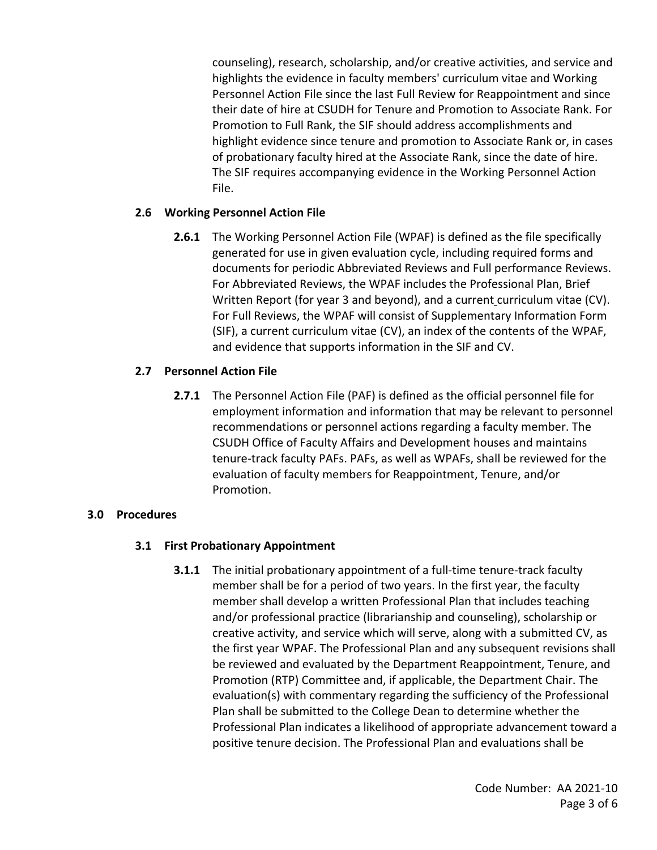counseling), research, scholarship, and/or creative activities, and service and highlights the evidence in faculty members' curriculum vitae and Working Personnel Action File since the last Full Review for Reappointment and since their date of hire at CSUDH for Tenure and Promotion to Associate Rank. For Promotion to Full Rank, the SIF should address accomplishments and highlight evidence since tenure and promotion to Associate Rank or, in cases of probationary faculty hired at the Associate Rank, since the date of hire. The SIF requires accompanying evidence in the Working Personnel Action File.

# **2.6 Working Personnel Action File**

Written Report (for year 3 and beyond), and a current curriculum vitae (CV). **2.6.1** The Working Personnel Action File (WPAF) is defined as the file specifically generated for use in given evaluation cycle, including required forms and documents for periodic Abbreviated Reviews and Full performance Reviews. For Abbreviated Reviews, the WPAF includes the Professional Plan, Brief For Full Reviews, the WPAF will consist of Supplementary Information Form (SIF), a current curriculum vitae (CV), an index of the contents of the WPAF, and evidence that supports information in the SIF and CV.

# **2.7 Personnel Action File**

**2.7.1** The Personnel Action File (PAF) is defined as the official personnel file for employment information and information that may be relevant to personnel recommendations or personnel actions regarding a faculty member. The CSUDH Office of Faculty Affairs and Development houses and maintains tenure-track faculty PAFs. PAFs, as well as WPAFs, shall be reviewed for the evaluation of faculty members for Reappointment, Tenure, and/or Promotion.

# **3.0 Procedures**

# **3.1 First Probationary Appointment**

**3.1.1** The initial probationary appointment of a full-time tenure-track faculty member shall be for a period of two years. In the first year, the faculty member shall develop a written Professional Plan that includes teaching and/or professional practice (librarianship and counseling), scholarship or creative activity, and service which will serve, along with a submitted CV, as the first year WPAF. The Professional Plan and any subsequent revisions shall be reviewed and evaluated by the Department Reappointment, Tenure, and Promotion (RTP) Committee and, if applicable, the Department Chair. The evaluation(s) with commentary regarding the sufficiency of the Professional Plan shall be submitted to the College Dean to determine whether the Professional Plan indicates a likelihood of appropriate advancement toward a positive tenure decision. The Professional Plan and evaluations shall be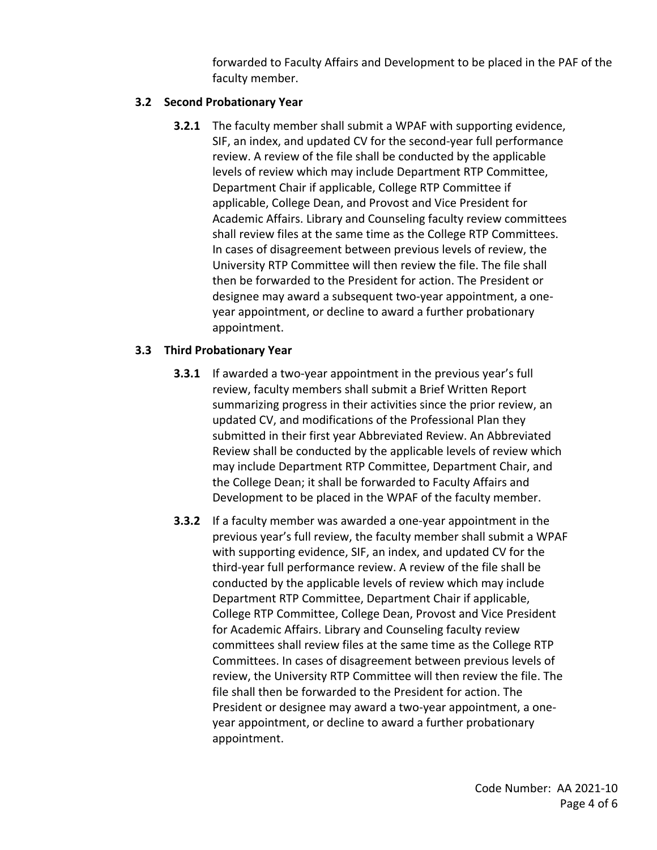forwarded to Faculty Affairs and Development to be placed in the PAF of the faculty member.

# **3.2 Second Probationary Year**

 **3.2.1** The faculty member shall submit a WPAF with supporting evidence, SIF, an index, and updated CV for the second-year full performance review. A review of the file shall be conducted by the applicable levels of review which may include Department RTP Committee, Department Chair if applicable, College RTP Committee if applicable, College Dean, and Provost and Vice President for Academic Affairs. Library and Counseling faculty review committees shall review files at the same time as the College RTP Committees. In cases of disagreement between previous levels of review, the University RTP Committee will then review the file. The file shall then be forwarded to the President for action. The President or designee may award a subsequent two-year appointment, a one- year appointment, or decline to award a further probationary appointment.

### **3.3 Third Probationary Year**

- **3.3.1** If awarded a two-year appointment in the previous year's full review, faculty members shall submit a Brief Written Report summarizing progress in their activities since the prior review, an updated CV, and modifications of the Professional Plan they submitted in their first year Abbreviated Review. An Abbreviated Review shall be conducted by the applicable levels of review which may include Department RTP Committee, Department Chair, and the College Dean; it shall be forwarded to Faculty Affairs and Development to be placed in the WPAF of the faculty member.
- **3.3.2** If a faculty member was awarded a one-year appointment in the previous year's full review, the faculty member shall submit a WPAF with supporting evidence, SIF, an index, and updated CV for the third-year full performance review. A review of the file shall be conducted by the applicable levels of review which may include Department RTP Committee, Department Chair if applicable, College RTP Committee, College Dean, Provost and Vice President for Academic Affairs. Library and Counseling faculty review committees shall review files at the same time as the College RTP Committees. In cases of disagreement between previous levels of review, the University RTP Committee will then review the file. The file shall then be forwarded to the President for action. The President or designee may award a two-year appointment, a one- year appointment, or decline to award a further probationary appointment.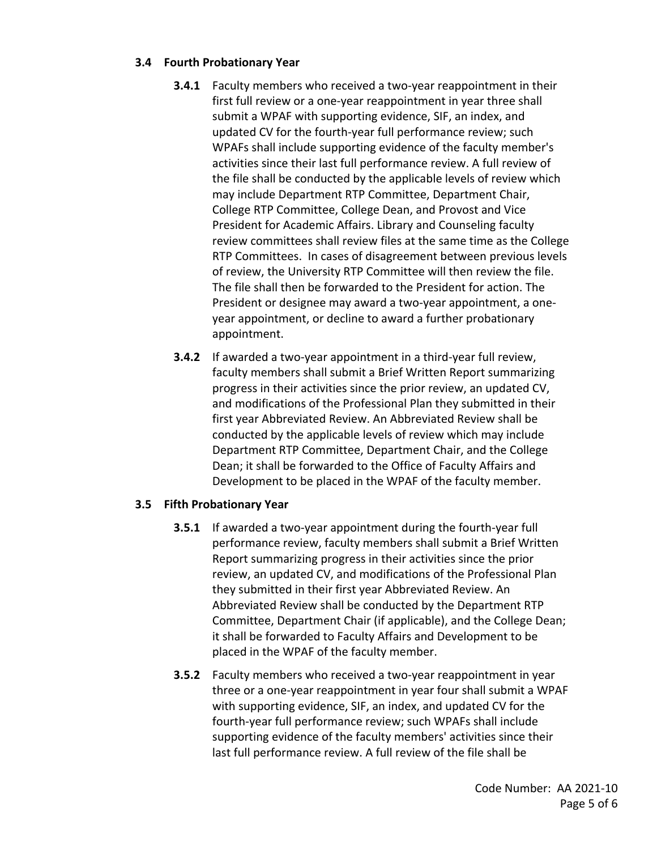# **3.4 Fourth Probationary Year**

- **3.4.1** Faculty members who received a two-year reappointment in their first full review or a one-year reappointment in year three shall submit a WPAF with supporting evidence, SIF, an index, and updated CV for the fourth-year full performance review; such WPAFs shall include supporting evidence of the faculty member's activities since their last full performance review. A full review of the file shall be conducted by the applicable levels of review which may include Department RTP Committee, Department Chair, College RTP Committee, College Dean, and Provost and Vice President for Academic Affairs. Library and Counseling faculty review committees shall review files at the same time as the College RTP Committees. In cases of disagreement between previous levels of review, the University RTP Committee will then review the file. The file shall then be forwarded to the President for action. The President or designee may award a two-year appointment, a one- year appointment, or decline to award a further probationary appointment.
- **3.4.2** If awarded a two-year appointment in a third-year full review, faculty members shall submit a Brief Written Report summarizing progress in their activities since the prior review, an updated CV, and modifications of the Professional Plan they submitted in their first year Abbreviated Review. An Abbreviated Review shall be conducted by the applicable levels of review which may include Department RTP Committee, Department Chair, and the College Dean; it shall be forwarded to the Office of Faculty Affairs and Development to be placed in the WPAF of the faculty member.

# **3.5 Fifth Probationary Year**

- **3.5.1** If awarded a two-year appointment during the fourth-year full performance review, faculty members shall submit a Brief Written Report summarizing progress in their activities since the prior review, an updated CV, and modifications of the Professional Plan they submitted in their first year Abbreviated Review. An Abbreviated Review shall be conducted by the Department RTP Committee, Department Chair (if applicable), and the College Dean; it shall be forwarded to Faculty Affairs and Development to be placed in the WPAF of the faculty member.
- **3.5.2** Faculty members who received a two-year reappointment in year three or a one-year reappointment in year four shall submit a WPAF with supporting evidence, SIF, an index, and updated CV for the fourth-year full performance review; such WPAFs shall include supporting evidence of the faculty members' activities since their last full performance review. A full review of the file shall be